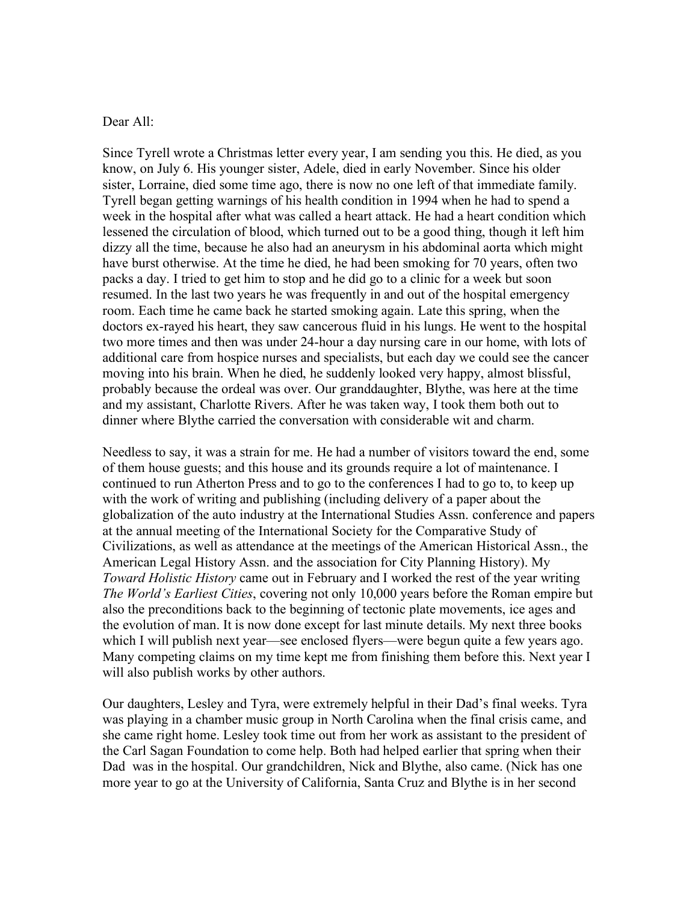## Dear All:

Since Tyrell wrote a Christmas letter every year, I am sending you this. He died, as you know, on July 6. His younger sister, Adele, died in early November. Since his older sister, Lorraine, died some time ago, there is now no one left of that immediate family. Tyrell began getting warnings of his health condition in 1994 when he had to spend a week in the hospital after what was called a heart attack. He had a heart condition which lessened the circulation of blood, which turned out to be a good thing, though it left him dizzy all the time, because he also had an aneurysm in his abdominal aorta which might have burst otherwise. At the time he died, he had been smoking for 70 years, often two packs a day. I tried to get him to stop and he did go to a clinic for a week but soon resumed. In the last two years he was frequently in and out of the hospital emergency room. Each time he came back he started smoking again. Late this spring, when the doctors ex-rayed his heart, they saw cancerous fluid in his lungs. He went to the hospital two more times and then was under 24-hour a day nursing care in our home, with lots of additional care from hospice nurses and specialists, but each day we could see the cancer moving into his brain. When he died, he suddenly looked very happy, almost blissful, probably because the ordeal was over. Our granddaughter, Blythe, was here at the time and my assistant, Charlotte Rivers. After he was taken way, I took them both out to dinner where Blythe carried the conversation with considerable wit and charm.

Needless to say, it was a strain for me. He had a number of visitors toward the end, some of them house guests; and this house and its grounds require a lot of maintenance. I continued to run Atherton Press and to go to the conferences I had to go to, to keep up with the work of writing and publishing (including delivery of a paper about the globalization of the auto industry at the International Studies Assn. conference and papers at the annual meeting of the International Society for the Comparative Study of Civilizations, as well as attendance at the meetings of the American Historical Assn., the American Legal History Assn. and the association for City Planning History). My *Toward Holistic History* came out in February and I worked the rest of the year writing *The World's Earliest Cities*, covering not only 10,000 years before the Roman empire but also the preconditions back to the beginning of tectonic plate movements, ice ages and the evolution of man. It is now done except for last minute details. My next three books which I will publish next year—see enclosed flyers—were begun quite a few years ago. Many competing claims on my time kept me from finishing them before this. Next year I will also publish works by other authors.

Our daughters, Lesley and Tyra, were extremely helpful in their Dad's final weeks. Tyra was playing in a chamber music group in North Carolina when the final crisis came, and she came right home. Lesley took time out from her work as assistant to the president of the Carl Sagan Foundation to come help. Both had helped earlier that spring when their Dad was in the hospital. Our grandchildren, Nick and Blythe, also came. (Nick has one more year to go at the University of California, Santa Cruz and Blythe is in her second